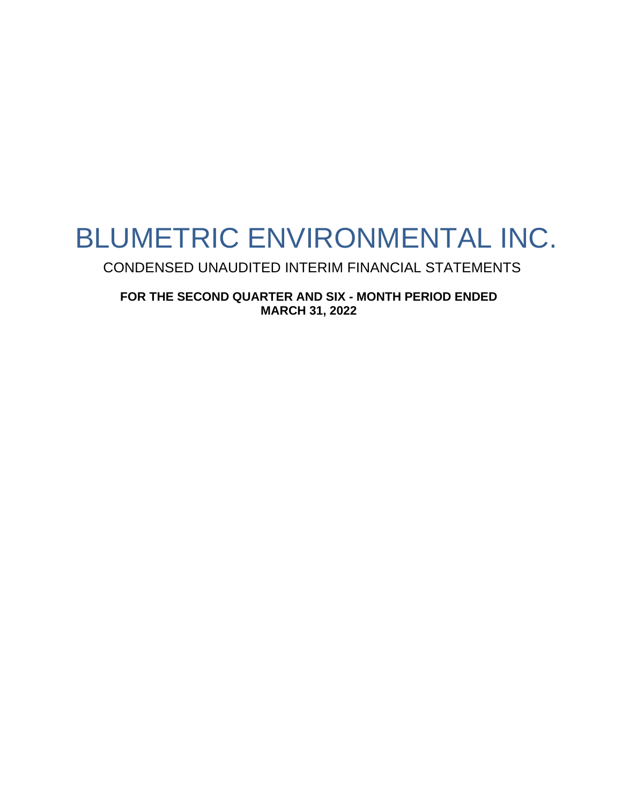# BLUMETRIC ENVIRONMENTAL INC.

CONDENSED UNAUDITED INTERIM FINANCIAL STATEMENTS

**FOR THE SECOND QUARTER AND SIX - MONTH PERIOD ENDED MARCH 31, 2022**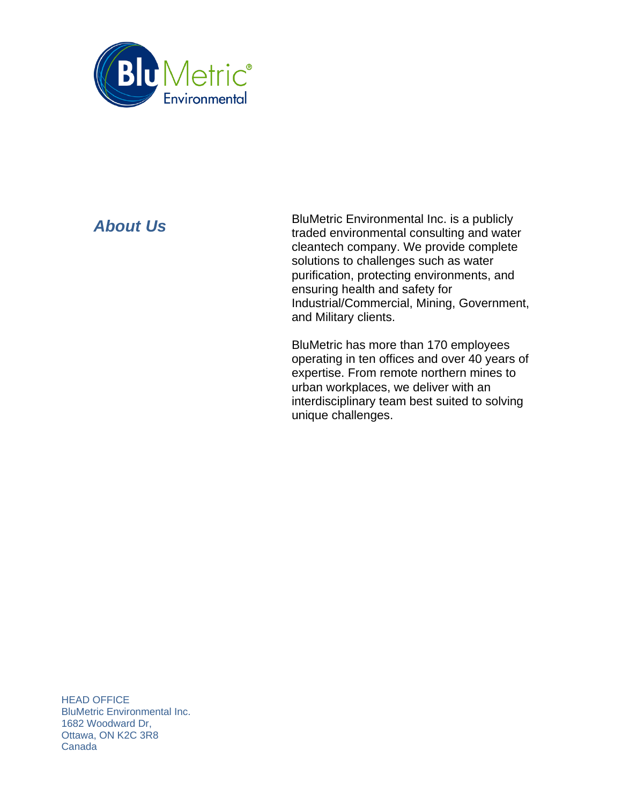

*About Us* BluMetric Environmental Inc. is a publicly **About** *Us* traded environmental consulting and water cleantech company. We provide complete solutions to challenges such as water purification, protecting environments, and ensuring health and safety for Industrial/Commercial, Mining, Government, and Military clients.

> BluMetric has more than 170 employees operating in ten offices and over 40 years of expertise. From remote northern mines to urban workplaces, we deliver with an interdisciplinary team best suited to solving unique challenges.

HEAD OFFICE BluMetric Environmental Inc. 1682 Woodward Dr, Ottawa, ON K2C 3R8 Canada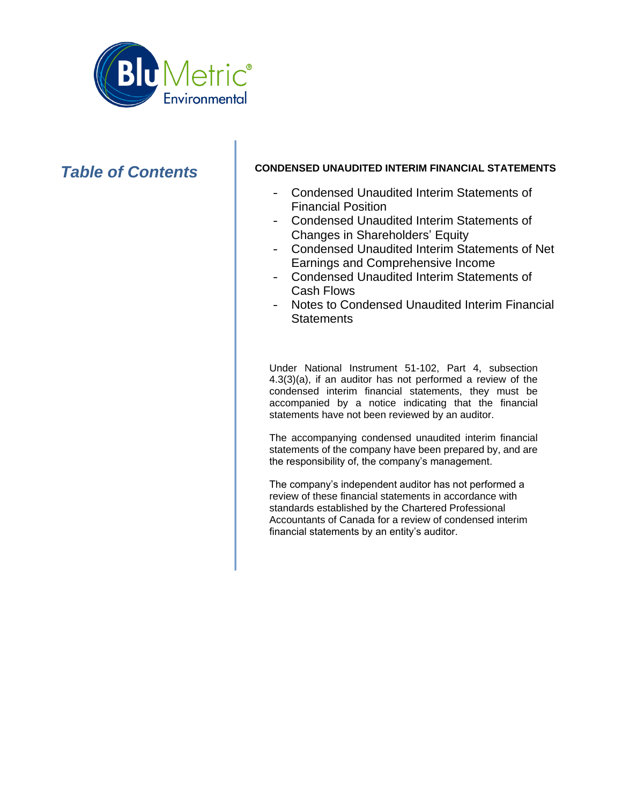

# **Table of Contents** CONDENSED UNAUDITED INTERIM FINANCIAL STATEMENTS

- Condensed Unaudited Interim Statements of Financial Position
- Condensed Unaudited Interim Statements of Changes in Shareholders' Equity
- Condensed Unaudited Interim Statements of Net Earnings and Comprehensive Income
- Condensed Unaudited Interim Statements of Cash Flows
- Notes to Condensed Unaudited Interim Financial **Statements**

Under National Instrument 51-102, Part 4, subsection 4.3(3)(a), if an auditor has not performed a review of the condensed interim financial statements, they must be accompanied by a notice indicating that the financial statements have not been reviewed by an auditor.

The accompanying condensed unaudited interim financial statements of the company have been prepared by, and are the responsibility of, the company's management.

The company's independent auditor has not performed a review of these financial statements in accordance with standards established by the Chartered Professional Accountants of Canada for a review of condensed interim financial statements by an entity's auditor.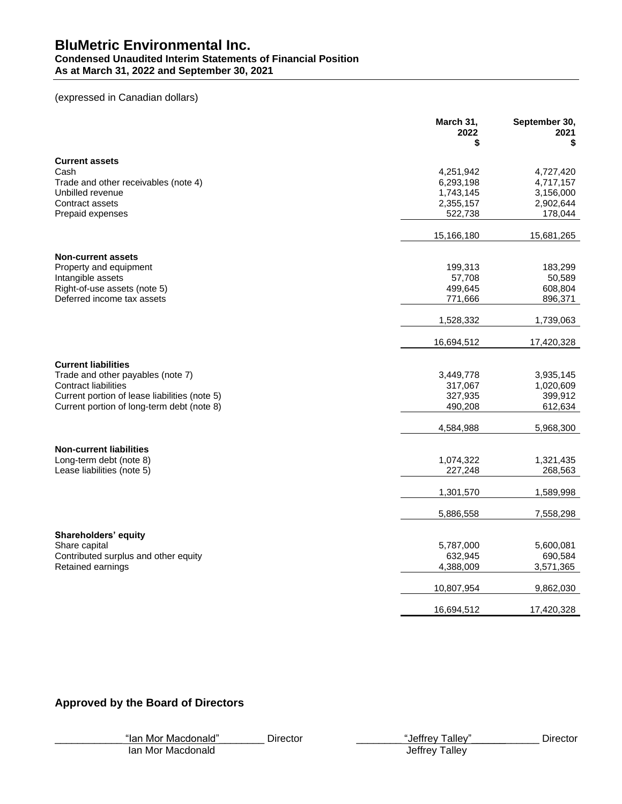# **Condensed Unaudited Interim Statements of Financial Position**

**As at March 31, 2022 and September 30, 2021**

# (expressed in Canadian dollars)

|                                                                                             | March 31,<br>2022<br>\$ | September 30,<br>2021<br>\$ |
|---------------------------------------------------------------------------------------------|-------------------------|-----------------------------|
| <b>Current assets</b>                                                                       |                         |                             |
| Cash                                                                                        | 4,251,942               | 4,727,420                   |
| Trade and other receivables (note 4)                                                        | 6,293,198               | 4,717,157                   |
| Unbilled revenue                                                                            | 1,743,145               | 3,156,000                   |
| Contract assets                                                                             | 2,355,157               | 2,902,644                   |
| Prepaid expenses                                                                            | 522,738                 | 178,044                     |
|                                                                                             | 15,166,180              | 15,681,265                  |
| <b>Non-current assets</b>                                                                   |                         |                             |
| Property and equipment                                                                      | 199,313                 | 183,299                     |
| Intangible assets                                                                           | 57,708                  | 50,589                      |
| Right-of-use assets (note 5)                                                                | 499,645                 | 608,804                     |
| Deferred income tax assets                                                                  | 771,666                 | 896,371                     |
|                                                                                             | 1,528,332               | 1,739,063                   |
|                                                                                             | 16,694,512              | 17,420,328                  |
|                                                                                             |                         |                             |
| <b>Current liabilities</b>                                                                  |                         |                             |
| Trade and other payables (note 7)                                                           | 3,449,778               | 3,935,145                   |
| <b>Contract liabilities</b>                                                                 | 317,067                 | 1,020,609                   |
| Current portion of lease liabilities (note 5)<br>Current portion of long-term debt (note 8) | 327,935<br>490,208      | 399,912<br>612,634          |
|                                                                                             |                         |                             |
|                                                                                             | 4,584,988               | 5,968,300                   |
| <b>Non-current liabilities</b>                                                              |                         |                             |
| Long-term debt (note 8)                                                                     | 1,074,322               | 1,321,435                   |
| Lease liabilities (note 5)                                                                  | 227,248                 | 268,563                     |
|                                                                                             |                         |                             |
|                                                                                             | 1,301,570               | 1,589,998                   |
|                                                                                             |                         |                             |
|                                                                                             | 5,886,558               | 7,558,298                   |
| Shareholders' equity                                                                        |                         |                             |
| Share capital                                                                               | 5,787,000               | 5,600,081                   |
| Contributed surplus and other equity                                                        | 632,945                 | 690,584                     |
| Retained earnings                                                                           | 4,388,009               | 3,571,365                   |
|                                                                                             | 10,807,954              | 9,862,030                   |
|                                                                                             | 16,694,512              | 17,420,328                  |

# **Approved by the Board of Directors**

|  |  | "lan Mor Macdonald" |  |
|--|--|---------------------|--|
|  |  |                     |  |

\_\_\_\_\_\_\_\_\_\_\_\_ "Ian Mor Macdonald"\_\_\_\_\_\_\_\_ Director \_\_\_\_\_\_\_\_ "Jeffrey Talley"\_\_\_\_\_\_\_\_\_\_\_\_ Director

Ian Mor Macdonald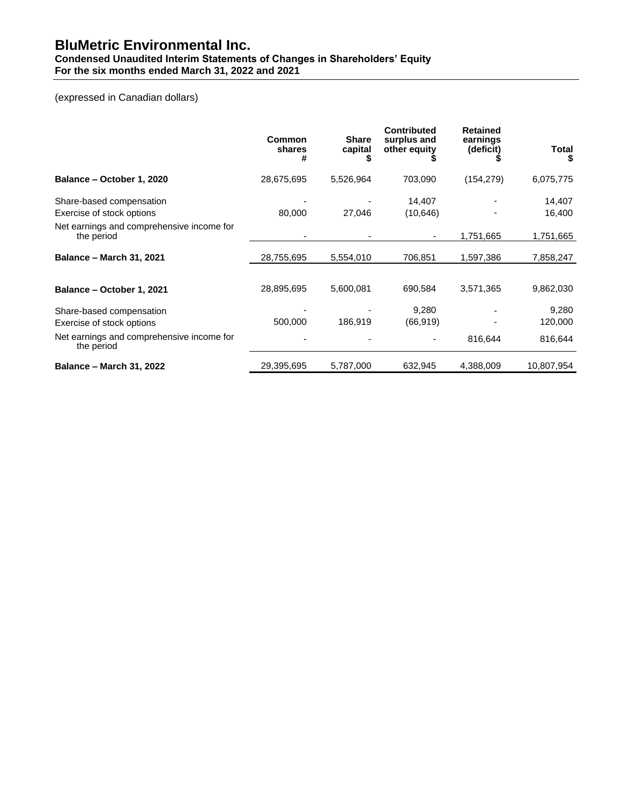#### **Condensed Unaudited Interim Statements of Changes in Shareholders' Equity For the six months ended March 31, 2022 and 2021**

# (expressed in Canadian dollars)

|                                                         | Common<br>shares<br># | <b>Share</b><br>capital | <b>Contributed</b><br>surplus and<br>other equity | <b>Retained</b><br>earnings<br>(deficit) | Total<br>S       |
|---------------------------------------------------------|-----------------------|-------------------------|---------------------------------------------------|------------------------------------------|------------------|
| Balance - October 1, 2020                               | 28,675,695            | 5,526,964               | 703,090                                           | (154, 279)                               | 6,075,775        |
| Share-based compensation<br>Exercise of stock options   | 80,000                | 27,046                  | 14,407<br>(10, 646)                               |                                          | 14,407<br>16,400 |
| Net earnings and comprehensive income for<br>the period |                       |                         | ۰                                                 | 1,751,665                                | 1,751,665        |
| <b>Balance - March 31, 2021</b>                         | 28,755,695            | 5,554,010               | 706,851                                           | 1,597,386                                | 7,858,247        |
| Balance - October 1, 2021                               | 28,895,695            | 5,600,081               | 690,584                                           | 3,571,365                                | 9,862,030        |
| Share-based compensation                                |                       |                         | 9,280                                             |                                          | 9,280            |
| Exercise of stock options                               | 500,000               | 186,919                 | (66, 919)                                         |                                          | 120,000          |
| Net earnings and comprehensive income for<br>the period |                       |                         |                                                   | 816,644                                  | 816,644          |
| <b>Balance - March 31, 2022</b>                         | 29,395,695            | 5,787,000               | 632,945                                           | 4,388,009                                | 10.807.954       |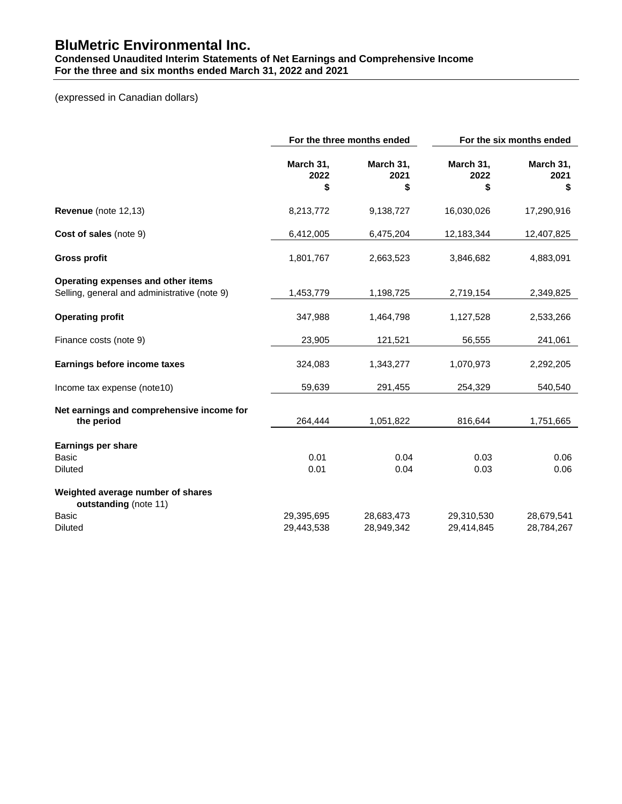## **Condensed Unaudited Interim Statements of Net Earnings and Comprehensive Income For the three and six months ended March 31, 2022 and 2021**

# (expressed in Canadian dollars)

|                                                                                    |                          | For the three months ended | For the six months ended |                          |  |
|------------------------------------------------------------------------------------|--------------------------|----------------------------|--------------------------|--------------------------|--|
|                                                                                    | March 31,<br>2022<br>\$  | March 31,<br>2021<br>\$    | March 31,<br>2022<br>\$  | March 31,<br>2021<br>\$  |  |
| Revenue (note 12,13)                                                               | 8,213,772                | 9,138,727                  | 16,030,026               | 17,290,916               |  |
| Cost of sales (note 9)                                                             | 6,412,005                | 6,475,204                  | 12,183,344               | 12,407,825               |  |
| <b>Gross profit</b>                                                                | 1,801,767                | 2,663,523                  | 3,846,682                | 4,883,091                |  |
| Operating expenses and other items<br>Selling, general and administrative (note 9) | 1,453,779                | 1,198,725                  | 2,719,154                | 2,349,825                |  |
| <b>Operating profit</b>                                                            | 347,988                  | 1,464,798                  | 1,127,528                | 2,533,266                |  |
| Finance costs (note 9)                                                             | 23,905                   | 121,521                    | 56,555                   | 241,061                  |  |
| Earnings before income taxes                                                       | 324,083                  | 1,343,277                  | 1,070,973                | 2,292,205                |  |
| Income tax expense (note10)                                                        | 59,639                   | 291,455                    | 254,329                  | 540,540                  |  |
| Net earnings and comprehensive income for<br>the period                            | 264,444                  | 1,051,822                  | 816,644                  | 1,751,665                |  |
| <b>Earnings per share</b>                                                          |                          |                            |                          |                          |  |
| Basic<br><b>Diluted</b>                                                            | 0.01<br>0.01             | 0.04<br>0.04               | 0.03<br>0.03             | 0.06<br>0.06             |  |
| Weighted average number of shares<br>outstanding (note 11)                         |                          |                            |                          |                          |  |
| <b>Basic</b><br><b>Diluted</b>                                                     | 29,395,695<br>29,443,538 | 28,683,473<br>28,949,342   | 29,310,530<br>29,414,845 | 28,679,541<br>28,784,267 |  |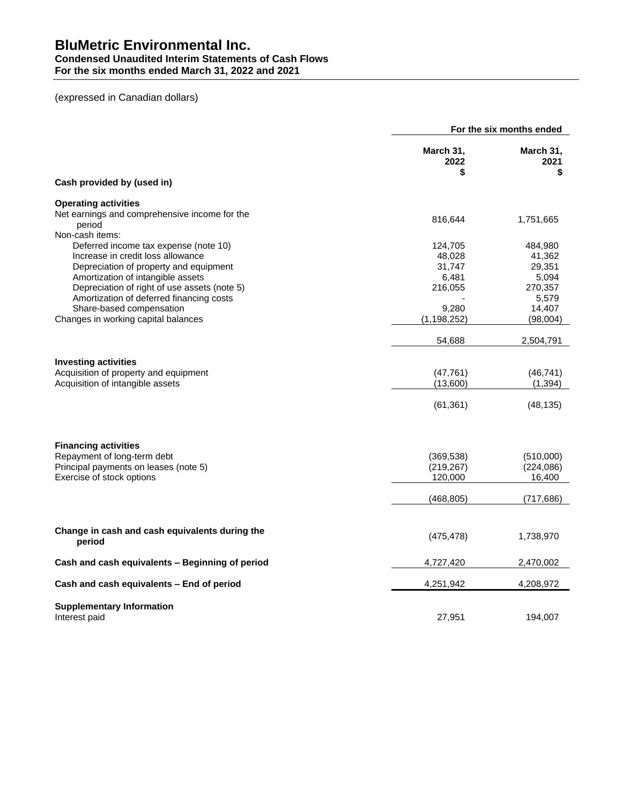#### **Condensed Unaudited Interim Statements of Cash Flows For the six months ended March 31, 2022 and 2021**

# (expressed in Canadian dollars)

|                                                          | For the six months ended |                         |  |
|----------------------------------------------------------|--------------------------|-------------------------|--|
|                                                          | March 31,<br>2022<br>\$  | March 31,<br>2021<br>\$ |  |
| Cash provided by (used in)                               |                          |                         |  |
| <b>Operating activities</b>                              |                          |                         |  |
| Net earnings and comprehensive income for the<br>period  | 816,644                  | 1,751,665               |  |
| Non-cash items:<br>Deferred income tax expense (note 10) | 124,705                  | 484,980                 |  |
| Increase in credit loss allowance                        | 48,028                   | 41,362                  |  |
| Depreciation of property and equipment                   | 31,747                   | 29,351                  |  |
| Amortization of intangible assets                        | 6,481                    | 5,094                   |  |
| Depreciation of right of use assets (note 5)             | 216,055                  | 270,357                 |  |
| Amortization of deferred financing costs                 |                          | 5,579                   |  |
| Share-based compensation                                 | 9,280                    | 14,407                  |  |
| Changes in working capital balances                      | (1, 198, 252)            | (98,004)                |  |
|                                                          | 54,688                   | 2,504,791               |  |
| <b>Investing activities</b>                              |                          |                         |  |
| Acquisition of property and equipment                    | (47, 761)                | (46, 741)               |  |
| Acquisition of intangible assets                         | (13,600)                 | (1, 394)                |  |
|                                                          | (61, 361)                | (48, 135)               |  |
| <b>Financing activities</b>                              |                          |                         |  |
| Repayment of long-term debt                              | (369, 538)               | (510,000)               |  |
| Principal payments on leases (note 5)                    | (219, 267)               | (224, 086)              |  |
| Exercise of stock options                                | 120,000                  | 16,400                  |  |
|                                                          | (468, 805)               | (717, 686)              |  |
| Change in cash and cash equivalents during the<br>period | (475, 478)               | 1,738,970               |  |
| Cash and cash equivalents - Beginning of period          | 4,727,420                | 2,470,002               |  |
| Cash and cash equivalents - End of period                | 4,251,942                | 4,208,972               |  |
| <b>Supplementary Information</b><br>Interest paid        | 27,951                   | 194,007                 |  |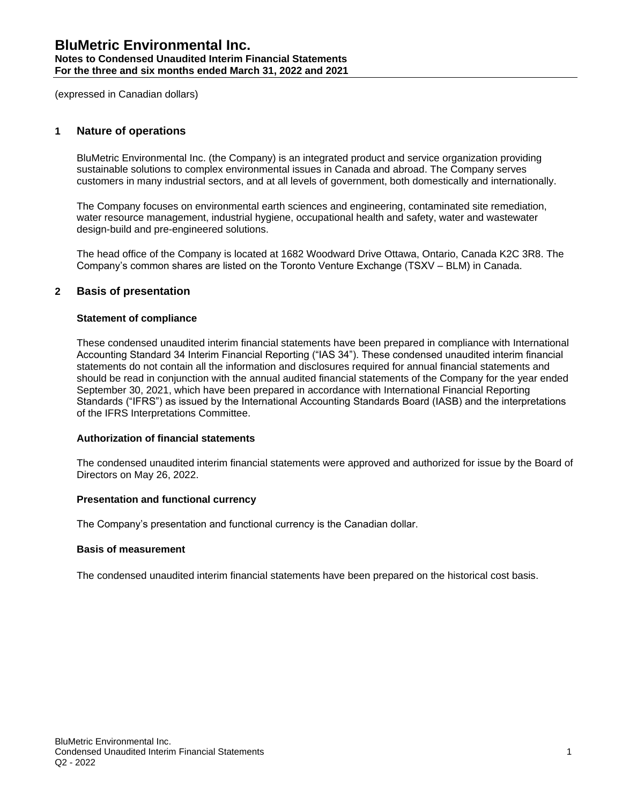#### **Notes to Condensed Unaudited Interim Financial Statements For the three and six months ended March 31, 2022 and 2021**

(expressed in Canadian dollars)

# **1 Nature of operations**

BluMetric Environmental Inc. (the Company) is an integrated product and service organization providing sustainable solutions to complex environmental issues in Canada and abroad. The Company serves customers in many industrial sectors, and at all levels of government, both domestically and internationally.

The Company focuses on environmental earth sciences and engineering, contaminated site remediation, water resource management, industrial hygiene, occupational health and safety, water and wastewater design-build and pre-engineered solutions.

The head office of the Company is located at 1682 Woodward Drive Ottawa, Ontario, Canada K2C 3R8. The Company's common shares are listed on the Toronto Venture Exchange (TSXV – BLM) in Canada.

# **2 Basis of presentation**

# **Statement of compliance**

These condensed unaudited interim financial statements have been prepared in compliance with International Accounting Standard 34 Interim Financial Reporting ("IAS 34"). These condensed unaudited interim financial statements do not contain all the information and disclosures required for annual financial statements and should be read in conjunction with the annual audited financial statements of the Company for the year ended September 30, 2021, which have been prepared in accordance with International Financial Reporting Standards ("IFRS") as issued by the International Accounting Standards Board (IASB) and the interpretations of the IFRS Interpretations Committee.

## **Authorization of financial statements**

The condensed unaudited interim financial statements were approved and authorized for issue by the Board of Directors on May 26, 2022.

## **Presentation and functional currency**

The Company's presentation and functional currency is the Canadian dollar.

## **Basis of measurement**

The condensed unaudited interim financial statements have been prepared on the historical cost basis.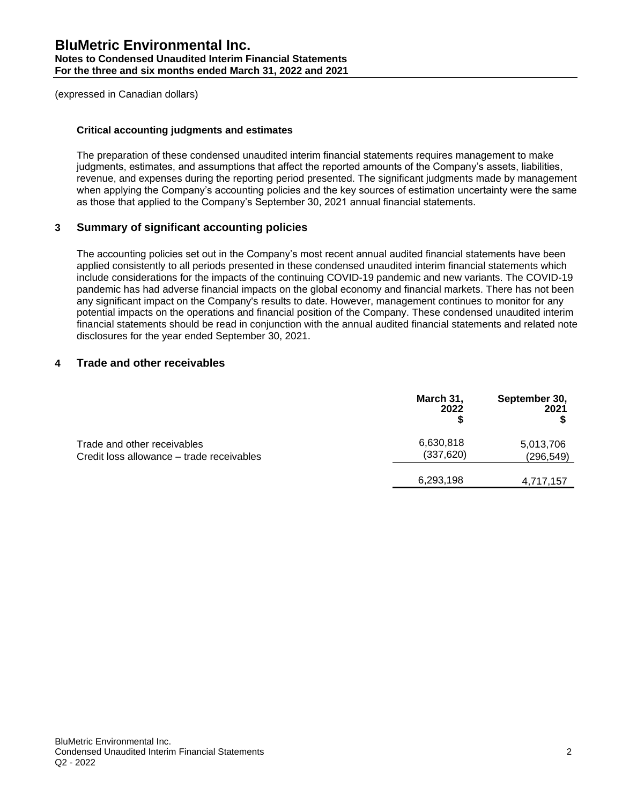## **Critical accounting judgments and estimates**

The preparation of these condensed unaudited interim financial statements requires management to make judgments, estimates, and assumptions that affect the reported amounts of the Company's assets, liabilities, revenue, and expenses during the reporting period presented. The significant judgments made by management when applying the Company's accounting policies and the key sources of estimation uncertainty were the same as those that applied to the Company's September 30, 2021 annual financial statements.

# **3 Summary of significant accounting policies**

The accounting policies set out in the Company's most recent annual audited financial statements have been applied consistently to all periods presented in these condensed unaudited interim financial statements which include considerations for the impacts of the continuing COVID-19 pandemic and new variants. The COVID-19 pandemic has had adverse financial impacts on the global economy and financial markets. There has not been any significant impact on the Company's results to date. However, management continues to monitor for any potential impacts on the operations and financial position of the Company. These condensed unaudited interim financial statements should be read in conjunction with the annual audited financial statements and related note disclosures for the year ended September 30, 2021.

# **4 Trade and other receivables**

|                                                                          | March 31,<br>2022       | September 30,<br>2021   |
|--------------------------------------------------------------------------|-------------------------|-------------------------|
| Trade and other receivables<br>Credit loss allowance – trade receivables | 6,630,818<br>(337, 620) | 5,013,706<br>(296, 549) |
|                                                                          | 6,293,198               | 4,717,157               |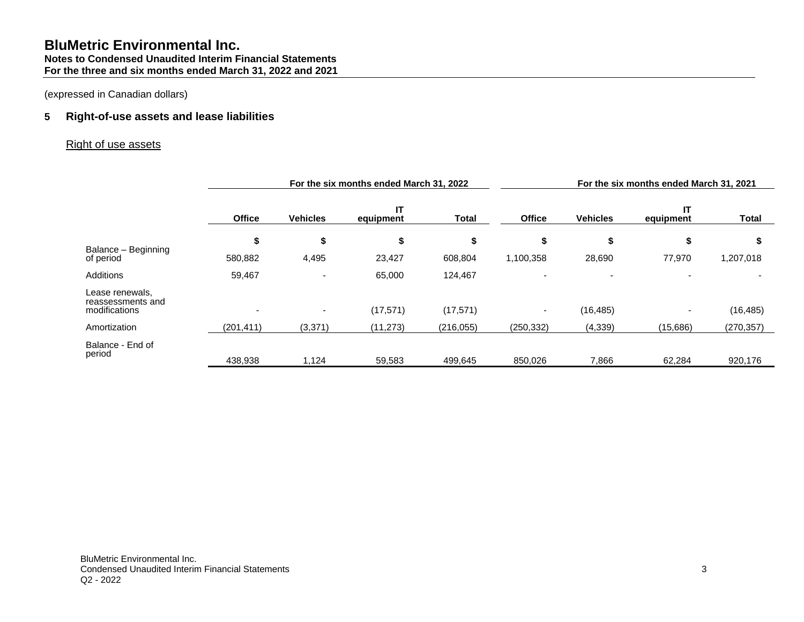# **5 Right-of-use assets and lease liabilities**

# Right of use assets

|                                                       | For the six months ended March 31, 2022 |                 |                 |              | For the six months ended March 31, 2021 |                 |                 |              |
|-------------------------------------------------------|-----------------------------------------|-----------------|-----------------|--------------|-----------------------------------------|-----------------|-----------------|--------------|
|                                                       | <b>Office</b>                           | <b>Vehicles</b> | IΤ<br>equipment | <b>Total</b> | <b>Office</b>                           | <b>Vehicles</b> | IT<br>equipment | <b>Total</b> |
|                                                       | \$                                      | \$              | \$              | \$           | \$                                      | \$              | \$              | S            |
| Balance - Beginning<br>of period                      | 580,882                                 | 4,495           | 23,427          | 608,804      | 1,100,358                               | 28,690          | 77,970          | 1,207,018    |
| <b>Additions</b>                                      | 59,467                                  | ۰               | 65,000          | 124,467      |                                         |                 |                 |              |
| Lease renewals,<br>reassessments and<br>modifications | $\overline{\phantom{a}}$                | ٠               | (17, 571)       | (17, 571)    |                                         | (16, 485)       |                 | (16, 485)    |
| Amortization                                          | (201, 411)                              | (3, 371)        | (11, 273)       | (216, 055)   | (250, 332)                              | (4, 339)        | (15,686)        | (270, 357)   |
| Balance - End of<br>period                            | 438,938                                 | 1,124           | 59,583          | 499,645      | 850,026                                 | 7,866           | 62,284          | 920,176      |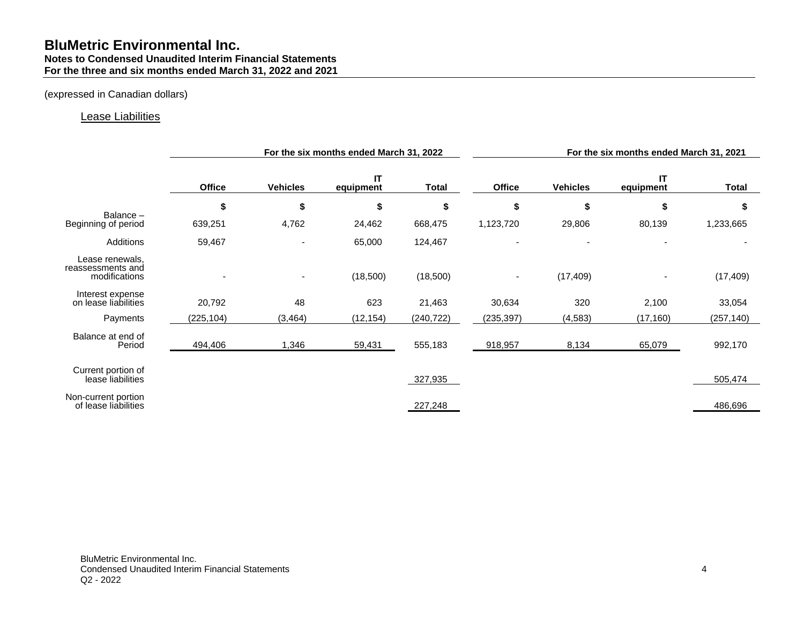# **BluMetric Environmental Inc. Notes to Condensed Unaudited Interim Financial Statements For the three and six months ended March 31, 2022 and 2021**

# (expressed in Canadian dollars)

# Lease Liabilities

|                                                       | For the six months ended March 31, 2022 |                 |                 | For the six months ended March 31, 2021 |               |                          |                 |              |
|-------------------------------------------------------|-----------------------------------------|-----------------|-----------------|-----------------------------------------|---------------|--------------------------|-----------------|--------------|
|                                                       | <b>Office</b>                           | <b>Vehicles</b> | IT<br>equipment | <b>Total</b>                            | <b>Office</b> | <b>Vehicles</b>          | IT<br>equipment | <b>Total</b> |
|                                                       | \$                                      | \$              | \$              | \$                                      | \$            | \$                       | \$              | \$           |
| Balance-<br>Beginning of period                       | 639,251                                 | 4,762           | 24,462          | 668,475                                 | 1,123,720     | 29,806                   | 80,139          | 1,233,665    |
| Additions                                             | 59,467                                  |                 | 65,000          | 124,467                                 |               | $\overline{\phantom{a}}$ |                 |              |
| Lease renewals,<br>reassessments and<br>modifications |                                         |                 | (18,500)        | (18,500)                                |               | (17, 409)                |                 | (17, 409)    |
| Interest expense<br>on lease liabilities              | 20,792                                  | 48              | 623             | 21,463                                  | 30,634        | 320                      | 2,100           | 33,054       |
| Payments                                              | (225, 104)                              | (3, 464)        | (12, 154)       | (240, 722)                              | (235, 397)    | (4, 583)                 | (17, 160)       | (257, 140)   |
| Balance at end of<br>Period                           | 494,406                                 | 1,346           | 59,431          | 555,183                                 | 918,957       | 8,134                    | 65,079          | 992,170      |
| Current portion of<br>lease liabilities               |                                         |                 |                 | 327,935                                 |               |                          |                 | 505,474      |
| Non-current portion<br>of lease liabilities           |                                         |                 |                 | 227,248                                 |               |                          |                 | 486,696      |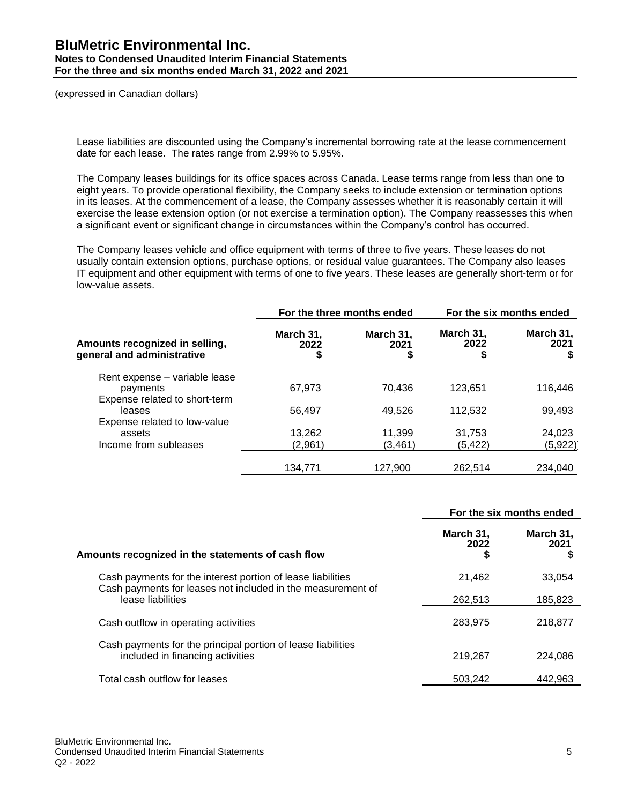# **BluMetric Environmental Inc. Notes to Condensed Unaudited Interim Financial Statements For the three and six months ended March 31, 2022 and 2021**

(expressed in Canadian dollars)

Lease liabilities are discounted using the Company's incremental borrowing rate at the lease commencement date for each lease. The rates range from 2.99% to 5.95%.

The Company leases buildings for its office spaces across Canada. Lease terms range from less than one to eight years. To provide operational flexibility, the Company seeks to include extension or termination options in its leases. At the commencement of a lease, the Company assesses whether it is reasonably certain it will exercise the lease extension option (or not exercise a termination option). The Company reassesses this when a significant event or significant change in circumstances within the Company's control has occurred.

The Company leases vehicle and office equipment with terms of three to five years. These leases do not usually contain extension options, purchase options, or residual value guarantees. The Company also leases IT equipment and other equipment with terms of one to five years. These leases are generally short-term or for low-value assets.

|                                                                         |                         | For the three months ended | For the six months ended |                   |
|-------------------------------------------------------------------------|-------------------------|----------------------------|--------------------------|-------------------|
| Amounts recognized in selling,<br>general and administrative            | March 31,<br>2022<br>\$ | March 31,<br>2021          | March 31,<br>2022<br>\$  | March 31,<br>2021 |
| Rent expense - variable lease<br>payments                               | 67,973                  | 70.436                     | 123,651                  | 116,446           |
| Expense related to short-term<br>leases<br>Expense related to low-value | 56,497                  | 49,526                     | 112,532                  | 99,493            |
| assets<br>Income from subleases                                         | 13,262<br>(2,961)       | 11,399<br>(3.461)          | 31,753<br>(5, 422)       | 24,023<br>(5,922) |
|                                                                         | 134,771                 | 127,900                    | 262,514                  | 234,040           |

|                                                                                                                            | For the six months ended |                   |
|----------------------------------------------------------------------------------------------------------------------------|--------------------------|-------------------|
| Amounts recognized in the statements of cash flow                                                                          | March 31,<br>2022<br>S   | March 31,<br>2021 |
| Cash payments for the interest portion of lease liabilities<br>Cash payments for leases not included in the measurement of | 21,462                   | 33,054            |
| lease liabilities                                                                                                          | 262,513                  | 185,823           |
| Cash outflow in operating activities                                                                                       | 283,975                  | 218,877           |
| Cash payments for the principal portion of lease liabilities<br>included in financing activities                           | 219,267                  | 224.086           |
| Total cash outflow for leases                                                                                              | 503,242                  | 442,963           |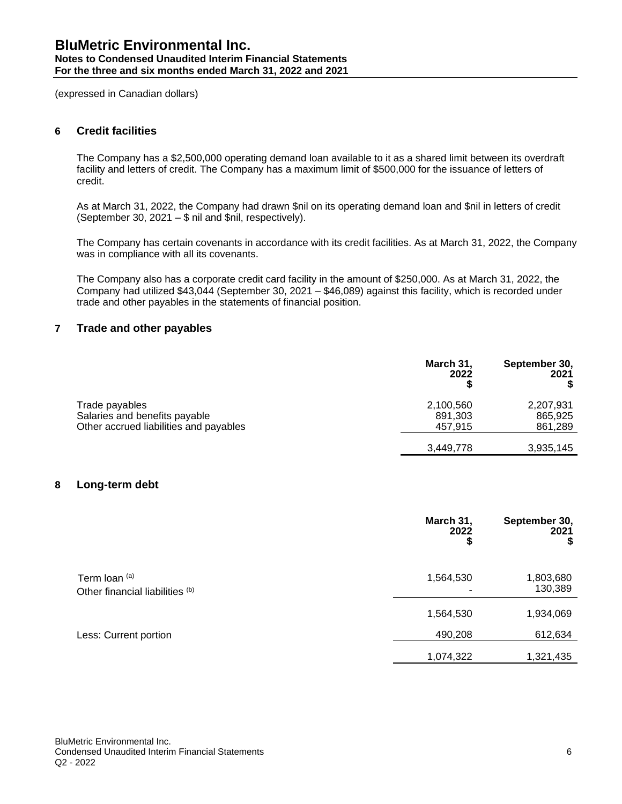#### **Notes to Condensed Unaudited Interim Financial Statements For the three and six months ended March 31, 2022 and 2021**

(expressed in Canadian dollars)

# **6 Credit facilities**

The Company has a \$2,500,000 operating demand loan available to it as a shared limit between its overdraft facility and letters of credit. The Company has a maximum limit of \$500,000 for the issuance of letters of credit.

As at March 31, 2022, the Company had drawn \$nil on its operating demand loan and \$nil in letters of credit (September 30, 2021 – \$ nil and \$nil, respectively).

The Company has certain covenants in accordance with its credit facilities. As at March 31, 2022, the Company was in compliance with all its covenants.

The Company also has a corporate credit card facility in the amount of \$250,000. As at March 31, 2022, the Company had utilized \$43,044 (September 30, 2021 – \$46,089) against this facility, which is recorded under trade and other payables in the statements of financial position.

# **7 Trade and other payables**

|                                                                                           | March 31,<br>2022               | September 30,<br>2021           |
|-------------------------------------------------------------------------------------------|---------------------------------|---------------------------------|
| Trade payables<br>Salaries and benefits payable<br>Other accrued liabilities and payables | 2,100,560<br>891,303<br>457.915 | 2,207,931<br>865,925<br>861,289 |
|                                                                                           | 3,449,778                       | 3,935,145                       |

# **8 Long-term debt**

|                                                  | March 31,<br>2022<br>\$ | September 30,<br>2021<br>\$ |
|--------------------------------------------------|-------------------------|-----------------------------|
| Term loan (a)<br>Other financial liabilities (b) | 1,564,530               | 1,803,680<br>130,389        |
|                                                  | 1,564,530               | 1,934,069                   |
| Less: Current portion                            | 490,208                 | 612,634                     |
|                                                  | 1,074,322               | 1,321,435                   |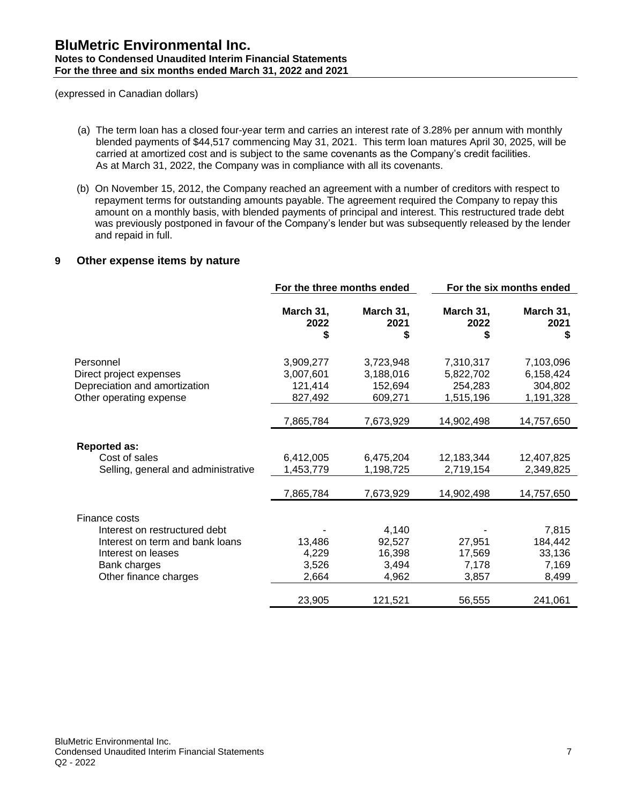- (a) The term loan has a closed four-year term and carries an interest rate of 3.28% per annum with monthly blended payments of \$44,517 commencing May 31, 2021. This term loan matures April 30, 2025, will be carried at amortized cost and is subject to the same covenants as the Company's credit facilities. As at March 31, 2022, the Company was in compliance with all its covenants.
- (b) On November 15, 2012, the Company reached an agreement with a number of creditors with respect to repayment terms for outstanding amounts payable. The agreement required the Company to repay this amount on a monthly basis, with blended payments of principal and interest. This restructured trade debt was previously postponed in favour of the Company's lender but was subsequently released by the lender and repaid in full.

# **9 Other expense items by nature**

|                                     | For the three months ended |                         | For the six months ended |                         |
|-------------------------------------|----------------------------|-------------------------|--------------------------|-------------------------|
|                                     | March 31,<br>2022<br>\$    | March 31,<br>2021<br>\$ | March 31,<br>2022<br>\$  | March 31,<br>2021<br>\$ |
| Personnel                           | 3,909,277                  | 3,723,948               | 7,310,317                | 7,103,096               |
| Direct project expenses             | 3,007,601                  | 3,188,016               | 5,822,702                | 6,158,424               |
| Depreciation and amortization       | 121,414                    | 152,694                 | 254,283                  | 304,802                 |
| Other operating expense             | 827,492                    | 609,271                 | 1,515,196                | 1,191,328               |
|                                     |                            |                         |                          |                         |
|                                     | 7,865,784                  | 7,673,929               | 14,902,498               | 14,757,650              |
| <b>Reported as:</b>                 |                            |                         |                          |                         |
| Cost of sales                       | 6,412,005                  | 6,475,204               | 12,183,344               | 12,407,825              |
| Selling, general and administrative | 1,453,779                  | 1,198,725               | 2,719,154                | 2,349,825               |
|                                     | 7,865,784                  | 7,673,929               | 14,902,498               | 14,757,650              |
| Finance costs                       |                            |                         |                          |                         |
| Interest on restructured debt       |                            | 4,140                   |                          | 7,815                   |
| Interest on term and bank loans     | 13,486                     | 92,527                  | 27,951                   | 184,442                 |
| Interest on leases                  | 4,229                      | 16,398                  | 17,569                   | 33,136                  |
| Bank charges                        | 3,526                      | 3,494                   | 7,178                    | 7,169                   |
| Other finance charges               | 2,664                      | 4,962                   | 3,857                    | 8,499                   |
|                                     | 23,905                     | 121,521                 | 56,555                   | 241,061                 |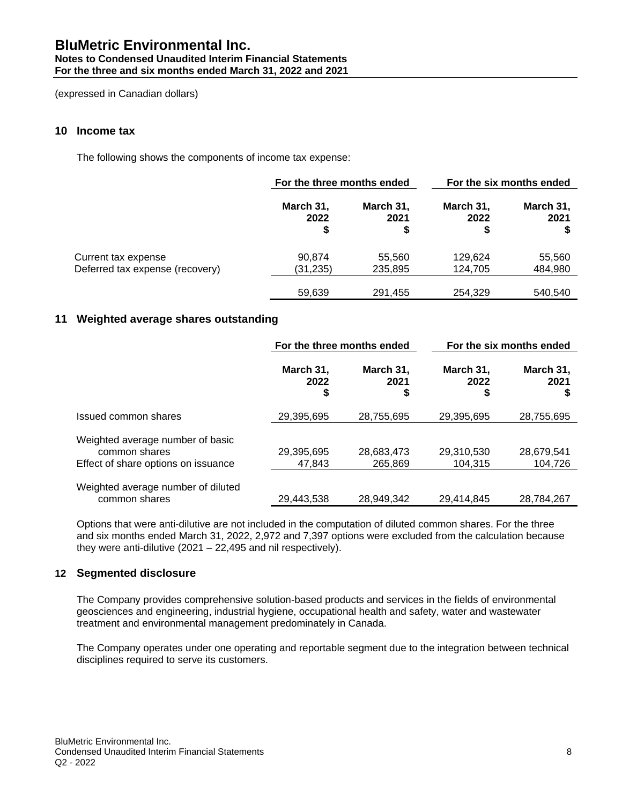#### **Notes to Condensed Unaudited Interim Financial Statements For the three and six months ended March 31, 2022 and 2021**

(expressed in Canadian dollars)

# **10 Income tax**

The following shows the components of income tax expense:

|                                 | For the three months ended |                         |                    | For the six months ended |
|---------------------------------|----------------------------|-------------------------|--------------------|--------------------------|
|                                 | March 31,<br>2022<br>\$    | March 31,<br>2021<br>\$ | March 31,<br>2022  | March 31,<br>2021        |
| Current tax expense             | 90.874                     | 55,560                  | 129.624            | 55,560                   |
| Deferred tax expense (recovery) | (31,235)<br>59.639         | 235,895<br>291,455      | 124,705<br>254.329 | 484,980<br>540,540       |

# **11 Weighted average shares outstanding**

|                                                                                          | For the three months ended |                        | For the six months ended |                        |
|------------------------------------------------------------------------------------------|----------------------------|------------------------|--------------------------|------------------------|
|                                                                                          | March 31,<br>2022<br>\$    | March 31,<br>2021<br>S | March 31,<br>2022        | March 31,<br>2021<br>S |
| Issued common shares                                                                     | 29,395,695                 | 28,755,695             | 29,395,695               | 28,755,695             |
| Weighted average number of basic<br>common shares<br>Effect of share options on issuance | 29,395,695<br>47,843       | 28,683,473<br>265.869  | 29,310,530<br>104.315    | 28.679.541<br>104,726  |
| Weighted average number of diluted<br>common shares                                      | 29,443,538                 | 28.949.342             | 29.414.845               | 28.784.267             |

Options that were anti-dilutive are not included in the computation of diluted common shares. For the three and six months ended March 31, 2022, 2,972 and 7,397 options were excluded from the calculation because they were anti-dilutive (2021 – 22,495 and nil respectively).

# **12 Segmented disclosure**

The Company provides comprehensive solution-based products and services in the fields of environmental geosciences and engineering, industrial hygiene, occupational health and safety, water and wastewater treatment and environmental management predominately in Canada.

The Company operates under one operating and reportable segment due to the integration between technical disciplines required to serve its customers.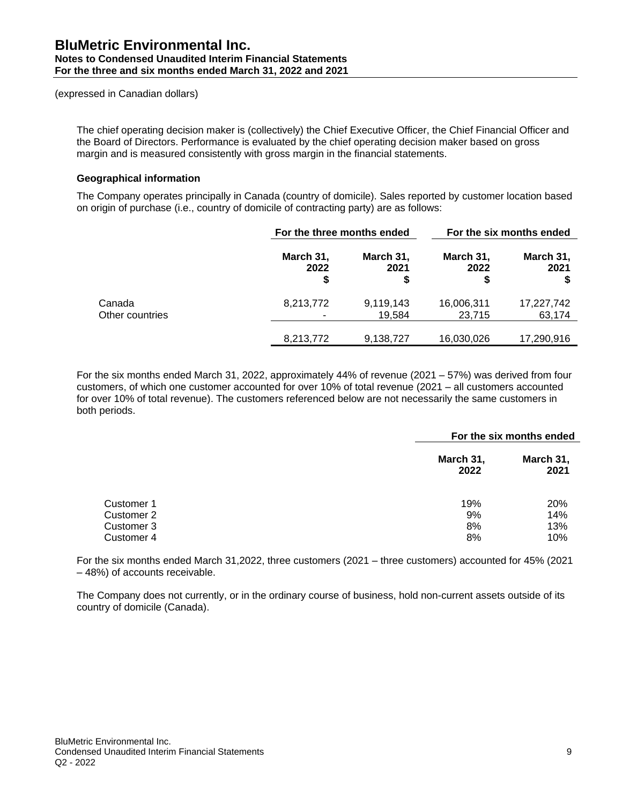The chief operating decision maker is (collectively) the Chief Executive Officer, the Chief Financial Officer and the Board of Directors. Performance is evaluated by the chief operating decision maker based on gross margin and is measured consistently with gross margin in the financial statements.

# **Geographical information**

The Company operates principally in Canada (country of domicile). Sales reported by customer location based on origin of purchase (i.e., country of domicile of contracting party) are as follows:

|                           |                        | For the three months ended |                         | For the six months ended |
|---------------------------|------------------------|----------------------------|-------------------------|--------------------------|
|                           | March 31,<br>2022<br>S | March 31,<br>2021<br>\$    | March 31,<br>2022<br>\$ | March 31,<br>2021        |
| Canada<br>Other countries | 8,213,772              | 9,119,143<br>19,584        | 16,006,311<br>23,715    | 17,227,742<br>63,174     |
|                           | 8,213,772              | 9,138,727                  | 16,030,026              | 17,290,916               |

For the six months ended March 31, 2022, approximately 44% of revenue (2021 – 57%) was derived from four customers, of which one customer accounted for over 10% of total revenue (2021 – all customers accounted for over 10% of total revenue). The customers referenced below are not necessarily the same customers in both periods.

| For the six months ended |                   |
|--------------------------|-------------------|
| March 31,<br>2022        | March 31,<br>2021 |
| 19%                      | <b>20%</b>        |
| 9%                       | 14%               |
| 8%                       | 13%               |
| 8%                       | 10%               |
|                          |                   |

For the six months ended March 31,2022, three customers (2021 – three customers) accounted for 45% (2021 – 48%) of accounts receivable.

The Company does not currently, or in the ordinary course of business, hold non-current assets outside of its country of domicile (Canada).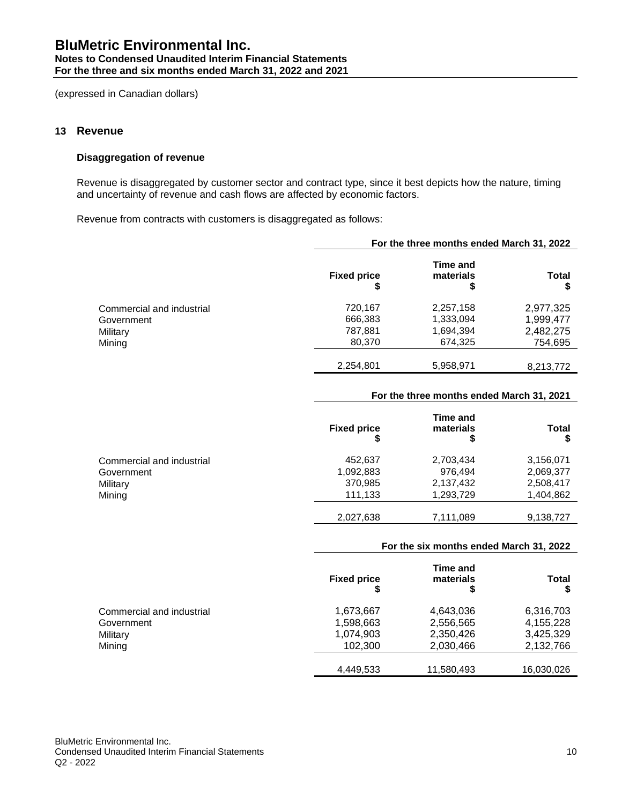#### **Notes to Condensed Unaudited Interim Financial Statements For the three and six months ended March 31, 2022 and 2021**

(expressed in Canadian dollars)

# **13 Revenue**

# **Disaggregation of revenue**

Revenue is disaggregated by customer sector and contract type, since it best depicts how the nature, timing and uncertainty of revenue and cash flows are affected by economic factors.

Revenue from contracts with customers is disaggregated as follows:

|                           | For the three months ended March 31, 2022 |                             |           |  |
|---------------------------|-------------------------------------------|-----------------------------|-----------|--|
|                           | <b>Fixed price</b><br>\$                  | Time and<br>materials<br>\$ | Total     |  |
| Commercial and industrial | 720,167                                   | 2,257,158                   | 2,977,325 |  |
| Government                | 666,383                                   | 1,333,094                   | 1,999,477 |  |
| Military                  | 787,881                                   | 1,694,394                   | 2,482,275 |  |
| Mining                    | 80,370                                    | 674,325                     | 754,695   |  |
|                           | 2,254,801                                 | 5,958,971                   | 8,213,772 |  |

## **For the three months ended March 31, 2021**

|                           | <b>Fixed price</b> | <b>Time and</b><br>materials | Total     |
|---------------------------|--------------------|------------------------------|-----------|
| Commercial and industrial | 452.637            | 2,703,434                    | 3,156,071 |
| Government                | 1,092,883          | 976.494                      | 2,069,377 |
| Military                  | 370,985            | 2,137,432                    | 2,508,417 |
| Mining                    | 111.133            | 1,293,729                    | 1,404,862 |
|                           | 2,027,638          | 7,111,089                    | 9,138,727 |

## **For the six months ended March 31, 2022**

|                           | <b>Fixed price</b> | Time and<br>materials<br>\$ | Total      |
|---------------------------|--------------------|-----------------------------|------------|
| Commercial and industrial | 1,673,667          | 4,643,036                   | 6,316,703  |
| Government                | 1,598,663          | 2,556,565                   | 4,155,228  |
| Military                  | 1,074,903          | 2,350,426                   | 3,425,329  |
| Mining                    | 102,300            | 2,030,466                   | 2,132,766  |
|                           | 4,449,533          | 11,580,493                  | 16,030,026 |